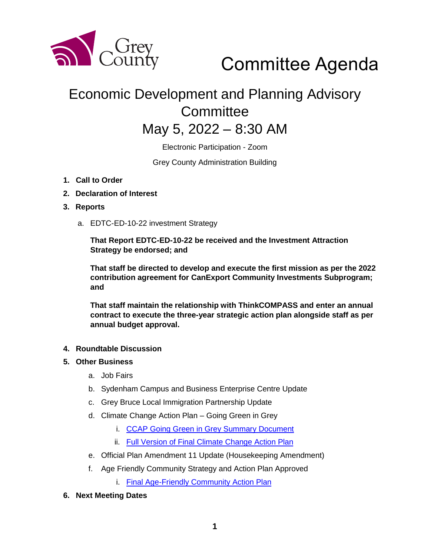

Committee Agenda

## Economic Development and Planning Advisory **Committee**

### May 5, 2022 – 8:30 AM

Electronic Participation - Zoom

Grey County Administration Building

- **1. Call to Order**
- **2. Declaration of Interest**
- **3. Reports** 
	- a. EDTC-ED-10-22 investment Strategy

**That Report EDTC-ED-10-22 be received and the Investment Attraction Strategy be endorsed; and**

**That staff be directed to develop and execute the first mission as per the 2022 contribution agreement for CanExport Community Investments Subprogram; and** 

**That staff maintain the relationship with ThinkCOMPASS and enter an annual contract to execute the three-year strategic action plan alongside staff as per annual budget approval.** 

#### **4. Roundtable Discussion**

#### **5. Other Business**

- a. Job Fairs
- b. Sydenham Campus and Business Enterprise Centre Update
- c. Grey Bruce Local Immigration Partnership Update
- d. Climate Change Action Plan Going Green in Grey
	- i. [CCAP Going Green in Grey Summary Document](https://docs.grey.ca/share/public?nodeRef=workspace://SpacesStore/e6065c30-4322-4f56-8ffe-68d42f384988)
	- ii. [Full Version of Final Climate Change Action Plan](https://docs.grey.ca/share/public?nodeRef=workspace://SpacesStore/fffd586d-7a2c-47bf-986d-a9c3a94d73c4)
- e. Official Plan Amendment 11 Update (Housekeeping Amendment)
- f. Age Friendly Community Strategy and Action Plan Approved
	- i. [Final Age-Friendly Community Action Plan](https://docs.grey.ca/share/public?nodeRef=workspace://SpacesStore/4bcc2c47-861b-4f64-b0f6-32e988434898)
- **6. Next Meeting Dates**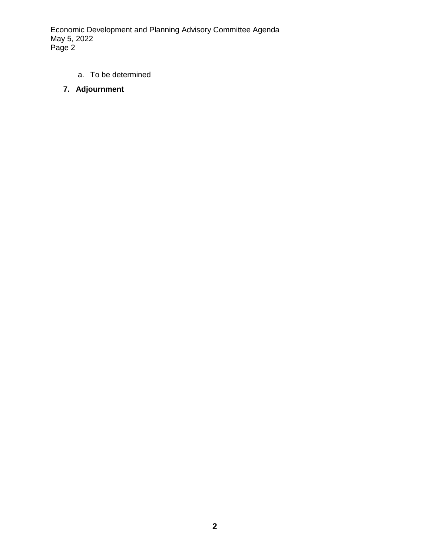Economic Development and Planning Advisory Committee Agenda May 5, 2022 Page 2

- a. To be determined
- **7. Adjournment**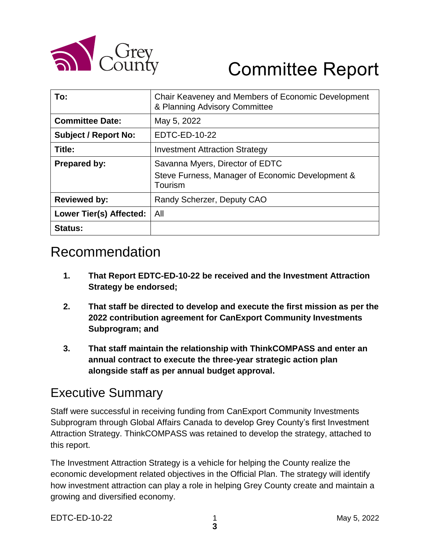

# Committee Report

| To:                         | Chair Keaveney and Members of Economic Development<br>& Planning Advisory Committee            |
|-----------------------------|------------------------------------------------------------------------------------------------|
| <b>Committee Date:</b>      | May 5, 2022                                                                                    |
| <b>Subject / Report No:</b> | EDTC-ED-10-22                                                                                  |
| Title:                      | <b>Investment Attraction Strategy</b>                                                          |
| <b>Prepared by:</b>         | Savanna Myers, Director of EDTC<br>Steve Furness, Manager of Economic Development &<br>Tourism |
| <b>Reviewed by:</b>         | Randy Scherzer, Deputy CAO                                                                     |
| Lower Tier(s) Affected:     | All                                                                                            |
| <b>Status:</b>              |                                                                                                |

### Recommendation

- **1. That Report EDTC-ED-10-22 be received and the Investment Attraction Strategy be endorsed;**
- **2. That staff be directed to develop and execute the first mission as per the 2022 contribution agreement for CanExport Community Investments Subprogram; and**
- **3. That staff maintain the relationship with ThinkCOMPASS and enter an annual contract to execute the three-year strategic action plan alongside staff as per annual budget approval.**

#### Executive Summary

Staff were successful in receiving funding from CanExport Community Investments Subprogram through Global Affairs Canada to develop Grey County's first Investment Attraction Strategy. ThinkCOMPASS was retained to develop the strategy, attached to this report.

The Investment Attraction Strategy is a vehicle for helping the County realize the economic development related objectives in the Official Plan. The strategy will identify how investment attraction can play a role in helping Grey County create and maintain a growing and diversified economy.

EDTC-ED-10-22 1 May 5, 2022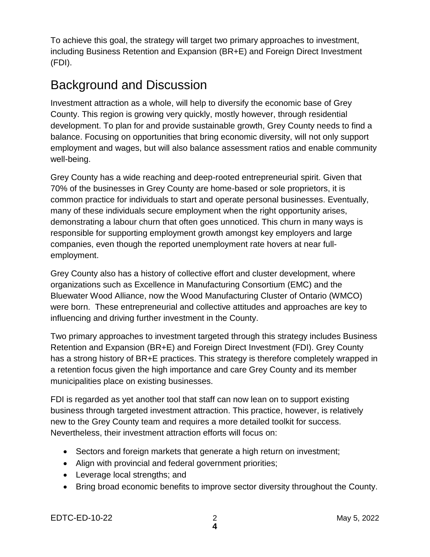To achieve this goal, the strategy will target two primary approaches to investment, including Business Retention and Expansion (BR+E) and Foreign Direct Investment (FDI).

#### Background and Discussion

Investment attraction as a whole, will help to diversify the economic base of Grey County. This region is growing very quickly, mostly however, through residential development. To plan for and provide sustainable growth, Grey County needs to find a balance. Focusing on opportunities that bring economic diversity, will not only support employment and wages, but will also balance assessment ratios and enable community well-being.

Grey County has a wide reaching and deep-rooted entrepreneurial spirit. Given that 70% of the businesses in Grey County are home-based or sole proprietors, it is common practice for individuals to start and operate personal businesses. Eventually, many of these individuals secure employment when the right opportunity arises, demonstrating a labour churn that often goes unnoticed. This churn in many ways is responsible for supporting employment growth amongst key employers and large companies, even though the reported unemployment rate hovers at near fullemployment.

Grey County also has a history of collective effort and cluster development, where organizations such as Excellence in Manufacturing Consortium (EMC) and the Bluewater Wood Alliance, now the Wood Manufacturing Cluster of Ontario (WMCO) were born. These entrepreneurial and collective attitudes and approaches are key to influencing and driving further investment in the County.

Two primary approaches to investment targeted through this strategy includes Business Retention and Expansion (BR+E) and Foreign Direct Investment (FDI). Grey County has a strong history of BR+E practices. This strategy is therefore completely wrapped in a retention focus given the high importance and care Grey County and its member municipalities place on existing businesses.

FDI is regarded as yet another tool that staff can now lean on to support existing business through targeted investment attraction. This practice, however, is relatively new to the Grey County team and requires a more detailed toolkit for success. Nevertheless, their investment attraction efforts will focus on:

- Sectors and foreign markets that generate a high return on investment;
- Align with provincial and federal government priorities;
- Leverage local strengths; and
- Bring broad economic benefits to improve sector diversity throughout the County.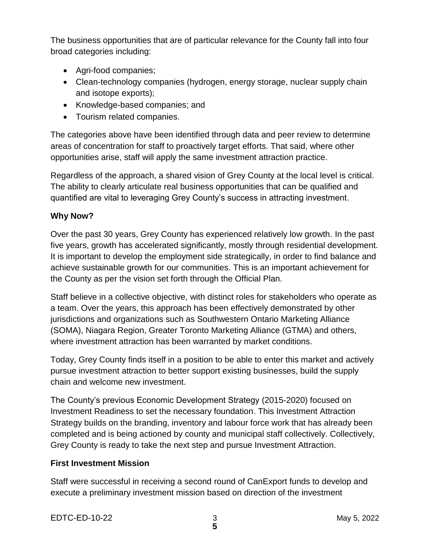The business opportunities that are of particular relevance for the County fall into four broad categories including:

- Agri-food companies;
- Clean-technology companies (hydrogen, energy storage, nuclear supply chain and isotope exports);
- Knowledge-based companies; and
- Tourism related companies.

The categories above have been identified through data and peer review to determine areas of concentration for staff to proactively target efforts. That said, where other opportunities arise, staff will apply the same investment attraction practice.

Regardless of the approach, a shared vision of Grey County at the local level is critical. The ability to clearly articulate real business opportunities that can be qualified and quantified are vital to leveraging Grey County's success in attracting investment.

#### **Why Now?**

Over the past 30 years, Grey County has experienced relatively low growth. In the past five years, growth has accelerated significantly, mostly through residential development. It is important to develop the employment side strategically, in order to find balance and achieve sustainable growth for our communities. This is an important achievement for the County as per the vision set forth through the Official Plan.

Staff believe in a collective objective, with distinct roles for stakeholders who operate as a team. Over the years, this approach has been effectively demonstrated by other jurisdictions and organizations such as Southwestern Ontario Marketing Alliance (SOMA), Niagara Region, Greater Toronto Marketing Alliance (GTMA) and others, where investment attraction has been warranted by market conditions.

Today, Grey County finds itself in a position to be able to enter this market and actively pursue investment attraction to better support existing businesses, build the supply chain and welcome new investment.

The County's previous Economic Development Strategy (2015-2020) focused on Investment Readiness to set the necessary foundation. This Investment Attraction Strategy builds on the branding, inventory and labour force work that has already been completed and is being actioned by county and municipal staff collectively. Collectively, Grey County is ready to take the next step and pursue Investment Attraction.

#### **First Investment Mission**

Staff were successful in receiving a second round of CanExport funds to develop and execute a preliminary investment mission based on direction of the investment

EDTC-ED-10-22 3 May 5, 2022